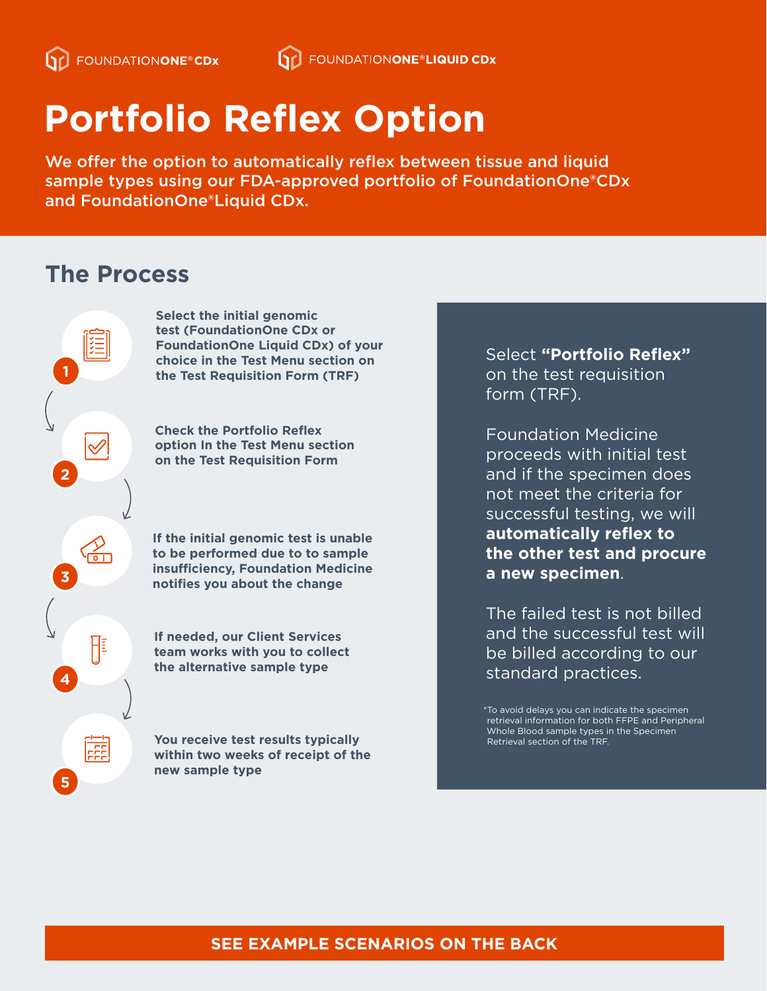# **Portfolio Reflex Option**

We offer the option to automatically reflex between tissue and liquid sample types using our FDA-approved portfolio of FoundationOne®CDx and FoundationOne®Liquid CDx.

## **The Process**

**1**

**2**

**3**

**4**

H

語

**5**

**Select the initial genomic test (FoundationOne CDx or FoundationOne Liquid CDx) of your choice in the Test Menu section on the Test Requisition Form (TRF)**

**Check the Portfolio Reflex option In the Test Menu section on the Test Requisition Form**

**If the initial genomic test is unable to be performed due to to sample insufficiency, Foundation Medicine notifies you about the change**

**If needed, our Client Services team works with you to collect the alternative sample type**

**You receive test results typically within two weeks of receipt of the new sample type**

Select **"Portfolio Reflex"** on the test requisition form (TRF).

Foundation Medicine proceeds with initial test and if the specimen does not meet the criteria for successful testing, we will **automatically reflex to the other test and procure a new specimen**.

The failed test is not billed and the successful test will be billed according to our standard practices.

\*To avoid delays you can indicate the specimen retrieval information for both FFPE and Peripheral Whole Blood sample types in the Specimen Retrieval section of the TRF.

#### **SEE EXAMPLE SCENARIOS ON THE BACK**